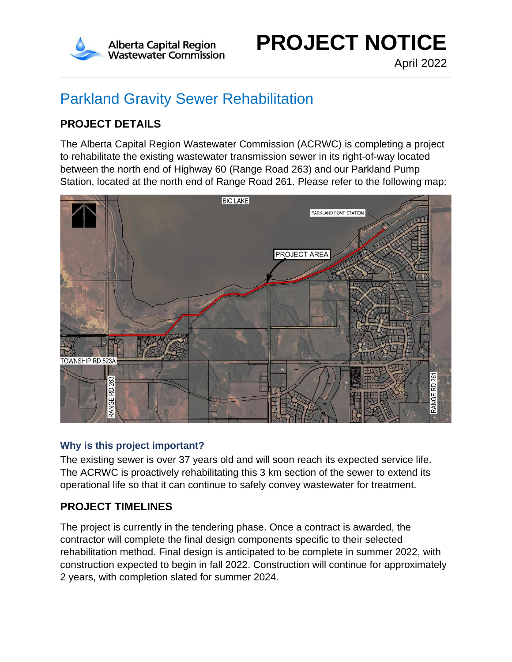

# Parkland Gravity Sewer Rehabilitation

# **PROJECT DETAILS**

The Alberta Capital Region Wastewater Commission (ACRWC) is completing a project to rehabilitate the existing wastewater transmission sewer in its right-of-way located between the north end of Highway 60 (Range Road 263) and our Parkland Pump Station, located at the north end of Range Road 261. Please refer to the following map:



### **Why is this project important?**

The existing sewer is over 37 years old and will soon reach its expected service life. The ACRWC is proactively rehabilitating this 3 km section of the sewer to extend its operational life so that it can continue to safely convey wastewater for treatment.

## **PROJECT TIMELINES**

The project is currently in the tendering phase. Once a contract is awarded, the contractor will complete the final design components specific to their selected rehabilitation method. Final design is anticipated to be complete in summer 2022, with construction expected to begin in fall 2022. Construction will continue for approximately 2 years, with completion slated for summer 2024.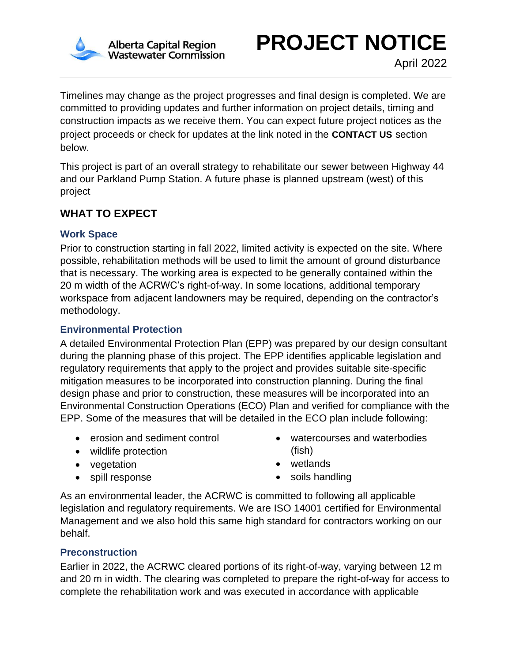

**PROJECT NOTICE**

Timelines may change as the project progresses and final design is completed. We are committed to providing updates and further information on project details, timing and construction impacts as we receive them. You can expect future project notices as the project proceeds or check for updates at the link noted in the **CONTACT US** section below.

This project is part of an overall strategy to rehabilitate our sewer between Highway 44 and our Parkland Pump Station. A future phase is planned upstream (west) of this project

# **WHAT TO EXPECT**

### **Work Space**

Prior to construction starting in fall 2022, limited activity is expected on the site. Where possible, rehabilitation methods will be used to limit the amount of ground disturbance that is necessary. The working area is expected to be generally contained within the 20 m width of the ACRWC's right-of-way. In some locations, additional temporary workspace from adjacent landowners may be required, depending on the contractor's methodology.

## **Environmental Protection**

A detailed Environmental Protection Plan (EPP) was prepared by our design consultant during the planning phase of this project. The EPP identifies applicable legislation and regulatory requirements that apply to the project and provides suitable site-specific mitigation measures to be incorporated into construction planning. During the final design phase and prior to construction, these measures will be incorporated into an Environmental Construction Operations (ECO) Plan and verified for compliance with the EPP. Some of the measures that will be detailed in the ECO plan include following:

- erosion and sediment control
- wildlife protection
- vegetation
- spill response
- watercourses and waterbodies (fish)
- wetlands
- soils handling

As an environmental leader, the ACRWC is committed to following all applicable legislation and regulatory requirements. We are ISO 14001 certified for Environmental Management and we also hold this same high standard for contractors working on our behalf.

## **Preconstruction**

Earlier in 2022, the ACRWC cleared portions of its right-of-way, varying between 12 m and 20 m in width. The clearing was completed to prepare the right-of-way for access to complete the rehabilitation work and was executed in accordance with applicable